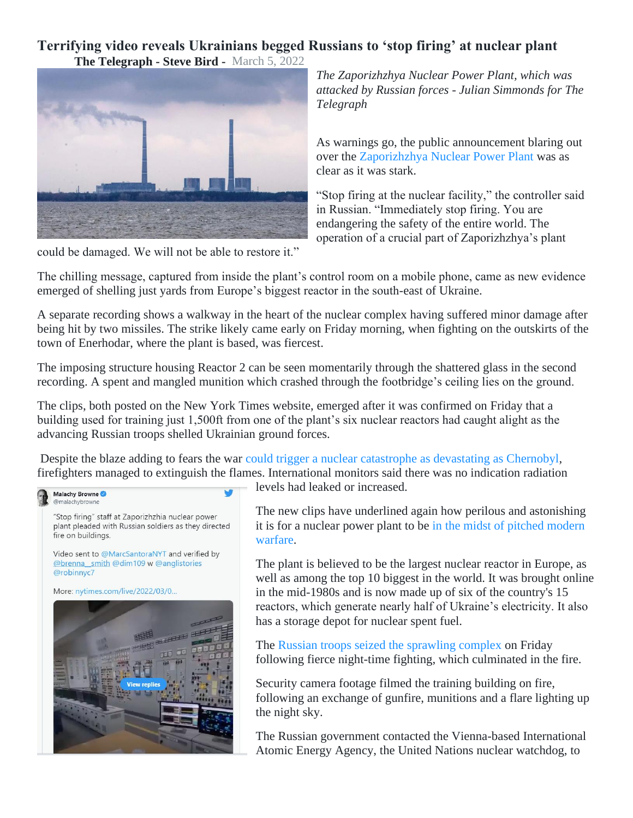## **Terrifying video reveals Ukrainians begged Russians to 'stop firing' at nuclear plant**

**The Telegraph - Steve Bird -** March 5, 2022



*The Zaporizhzhya Nuclear Power Plant, which was attacked by Russian forces - Julian Simmonds for The Telegraph*

As warnings go, the public announcement blaring out over the [Zaporizhzhya Nuclear Power Plant](https://www.telegraph.co.uk/world-news/2022/03/04/zaporizhzhia-nuclear-power-plant-fire-dangerous-happen/) was as clear as it was stark.

"Stop firing at the nuclear facility," the controller said in Russian. "Immediately stop firing. You are endangering the safety of the entire world. The operation of a crucial part of Zaporizhzhya's plant

could be damaged. We will not be able to restore it."

The chilling message, captured from inside the plant's control room on a mobile phone, came as new evidence emerged of shelling just yards from Europe's biggest reactor in the south-east of Ukraine.

A separate recording shows a walkway in the heart of the nuclear complex having suffered minor damage after being hit by two missiles. The strike likely came early on Friday morning, when fighting on the outskirts of the town of Enerhodar, where the plant is based, was fiercest.

The imposing structure housing Reactor 2 can be seen momentarily through the shattered glass in the second recording. A spent and mangled munition which crashed through the footbridge's ceiling lies on the ground.

The clips, both posted on the New York Times website, emerged after it was confirmed on Friday that a building used for training just 1,500ft from one of the plant's six nuclear reactors had caught alight as the advancing Russian troops shelled Ukrainian ground forces.

Despite the blaze adding to fears the war [could trigger a nuclear catastrophe as devastating as Chernobyl,](https://www.telegraph.co.uk/world-news/2022/03/04/ukraine-nuclear-power-plant-attack-europe-russia-invasion/) firefighters managed to extinguish the flames. International monitors said there was no indication radiation



levels had leaked or increased.

The new clips have underlined again how perilous and astonishing it is for a nuclear power plant to be [in the midst of pitched modern](https://www.telegraph.co.uk/world-news/2022/03/03/ukraine-russia-latest-news-putin-war-nato-live-updates/)  [warfare.](https://www.telegraph.co.uk/world-news/2022/03/03/ukraine-russia-latest-news-putin-war-nato-live-updates/)

The plant is believed to be the largest nuclear reactor in Europe, as well as among the top 10 biggest in the world. It was brought online in the mid-1980s and is now made up of six of the country's 15 reactors, which generate nearly half of Ukraine's electricity. It also has a storage depot for nuclear spent fuel.

The [Russian troops seized the sprawling complex](https://www.telegraph.co.uk/world-news/2022/03/04/russia-ukraine-nuclear-plant-fire-radiation-zaporizhzhia/) on Friday following fierce night-time fighting, which culminated in the fire.

Security camera footage filmed the training building on fire, following an exchange of gunfire, munitions and a flare lighting up the night sky.

The Russian government contacted the Vienna-based International Atomic Energy Agency, the United Nations nuclear watchdog, to